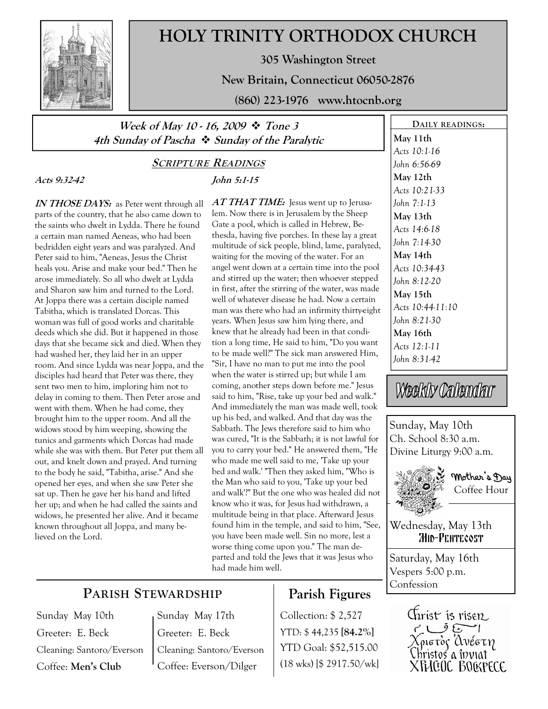

# HOLY TRINITY ORTHODOX CHURCH

305 Washington Street

New Britain, Connecticut 06050-2876

(860) 223-1976 www.htocnb.org

### Week of May 10 - 16, 2009  $\div$  Tone 3 4th Sunday of Pascha  $\div$  Sunday of the Paralytic

## SCRIPTURE READINGS

John 5:1-15

Acts 9:32-42

IN THOSE DAYS: as Peter went through all parts of the country, that he also came down to the saints who dwelt in Lydda. There he found a certain man named Aeneas, who had been bedridden eight years and was paralyzed. And Peter said to him, "Aeneas, Jesus the Christ heals you. Arise and make your bed." Then he arose immediately. So all who dwelt at Lydda and Sharon saw him and turned to the Lord. At Joppa there was a certain disciple named Tabitha, which is translated Dorcas. This woman was full of good works and charitable deeds which she did. But it happened in those days that she became sick and died. When they had washed her, they laid her in an upper room. And since Lydda was near Joppa, and the disciples had heard that Peter was there, they sent two men to him, imploring him not to delay in coming to them. Then Peter arose and went with them. When he had come, they brought him to the upper room. And all the widows stood by him weeping, showing the tunics and garments which Dorcas had made while she was with them. But Peter put them all out, and knelt down and prayed. And turning to the body he said, "Tabitha, arise." And she opened her eyes, and when she saw Peter she sat up. Then he gave her his hand and lifted her up; and when he had called the saints and widows, he presented her alive. And it became known throughout all Joppa, and many believed on the Lord.

AT THAT TIME: Jesus went up to Jerusalem. Now there is in Jerusalem by the Sheep Gate a pool, which is called in Hebrew, Bethesda, having five porches. In these lay a great multitude of sick people, blind, lame, paralyzed, waiting for the moving of the water. For an angel went down at a certain time into the pool and stirred up the water; then whoever stepped in first, after the stirring of the water, was made well of whatever disease he had. Now a certain man was there who had an infirmity thirty-eight years. When Jesus saw him lying there, and knew that he already had been in that condition a long time, He said to him, "Do you want to be made well?" The sick man answered Him, "Sir, I have no man to put me into the pool when the water is stirred up; but while I am coming, another steps down before me." Jesus said to him, "Rise, take up your bed and walk." And immediately the man was made well, took up his bed, and walked. And that day was the Sabbath. The Jews therefore said to him who was cured, "It is the Sabbath; it is not lawful for you to carry your bed." He answered them, "He who made me well said to me, 'Take up your bed and walk.' "Then they asked him, "Who is the Man who said to you, 'Take up your bed and walk'?" But the one who was healed did not know who it was, for Jesus had withdrawn, a multitude being in that place. Afterward Jesus found him in the temple, and said to him, "See, you have been made well. Sin no more, lest a worse thing come upon you." The man departed and told the Jews that it was Jesus who had made him well.

## PARISH STEWARDSHIP

Sunday May 10th Greeter: E. Beck Cleaning: Santoro/Everson Coffee: Men's Club

Sunday May 17th Greeter: E. Beck Cleaning: Santoro/Everson Coffee: Everson/Dilger

## Parish Figures

Collection: \$ 2,527 YTD: \$ 44,235 [84.2%] YTD Goal: \$52,515.00 (18 wks) [\$ 2917.50/wk]

DAILY READINGS: May 11th Acts 10:1-16 John 6:56-69 May 12th Acts 10:21-33 John 7:1-13 May 13th Acts 14:6-18 John 7:14-30 May 14th Acts 10:34-43 John 8:12-20 May 15th Acts 10:44-11:10 John 8:21-30 May 16th Acts 12:1-11 John 8:31-42

Weekly Calendar

Sunday, May 10th Ch. School 8:30 a.m. Divine Liturgy 9:00 a.m.



 Mother's Day Coffee Hour

Wednesday, May 13th **MID-PENTECOST** 

Saturday, May 16th Vespers 5:00 p.m. Confession

> Christ is risen Ze Cole XFHCOC BOCKPECE